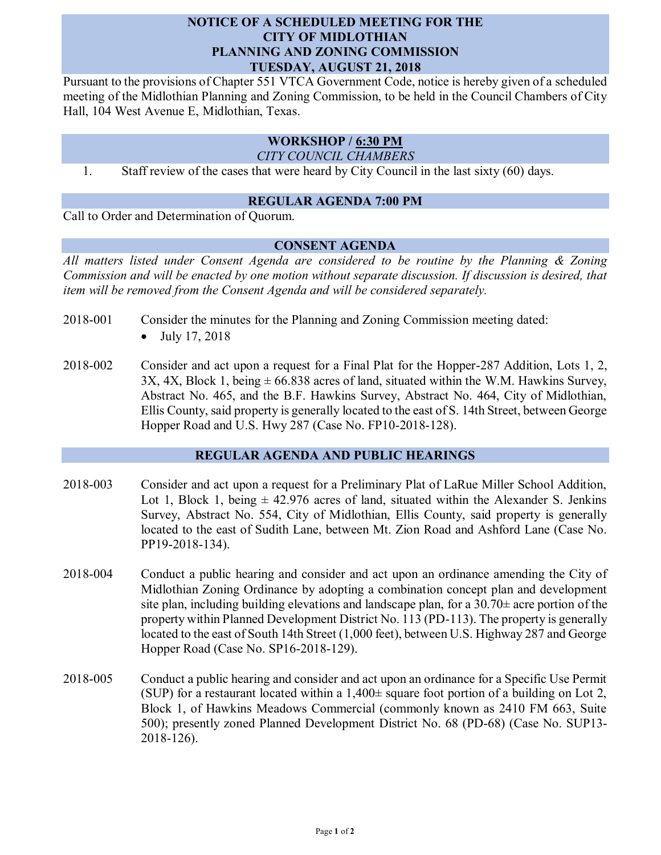# **NOTICE OF A SCHEDULED MEETING FOR THE CITY OF MIDLOTHIAN PLANNING AND ZONING COMMISSION TUESDAY, AUGUST 21, 2018**

Pursuant to the provisions of Chapter 551 VTCA Government Code, notice is hereby given of a scheduled meeting of the Midlothian Planning and Zoning Commission, to be held in the Council Chambers of City Hall, 104 West Avenue E, Midlothian, Texas.

# **WORKSHOP / 6:30 PM**

*CITY COUNCIL CHAMBERS*

1. Staff review of the cases that were heard by City Council in the last sixty (60) days.

# **REGULAR AGENDA 7:00 PM**

Call to Order and Determination of Quorum.

#### **CONSENT AGENDA**

*All matters listed under Consent Agenda are considered to be routine by the Planning & Zoning Commission and will be enacted by one motion without separate discussion. If discussion is desired, that item will be removed from the Consent Agenda and will be considered separately.*

- 2018-001 Consider the minutes for the Planning and Zoning Commission meeting dated:
	- July 17, 2018
- 2018-002 Consider and act upon a request for a Final Plat for the Hopper-287 Addition, Lots 1, 2,  $3X$ ,  $4X$ , Block 1, being  $\pm 66.838$  acres of land, situated within the W.M. Hawkins Survey, Abstract No. 465, and the B.F. Hawkins Survey, Abstract No. 464, City of Midlothian, Ellis County, said property is generally located to the east of S. 14th Street, between George Hopper Road and U.S. Hwy 287 (Case No. FP10-2018-128).

# **REGULAR AGENDA AND PUBLIC HEARINGS**

- 2018-003 Consider and act upon a request for a Preliminary Plat of LaRue Miller School Addition, Lot 1, Block 1, being  $\pm$  42.976 acres of land, situated within the Alexander S. Jenkins Survey, Abstract No. 554, City of Midlothian, Ellis County, said property is generally located to the east of Sudith Lane, between Mt. Zion Road and Ashford Lane (Case No. PP19-2018-134).
- 2018-004 Conduct a public hearing and consider and act upon an ordinance amending the City of Midlothian Zoning Ordinance by adopting a combination concept plan and development site plan, including building elevations and landscape plan, for a  $30.70\pm$  acre portion of the property within Planned Development District No. 113 (PD-113). The property is generally located to the east of South 14th Street (1,000 feet), between U.S. Highway 287 and George Hopper Road (Case No. SP16-2018-129).
- 2018-005 Conduct a public hearing and consider and act upon an ordinance for a Specific Use Permit (SUP) for a restaurant located within a  $1,400\pm$  square foot portion of a building on Lot 2, Block 1, of Hawkins Meadows Commercial (commonly known as 2410 FM 663, Suite 500); presently zoned Planned Development District No. 68 (PD-68) (Case No. SUP13- 2018-126).